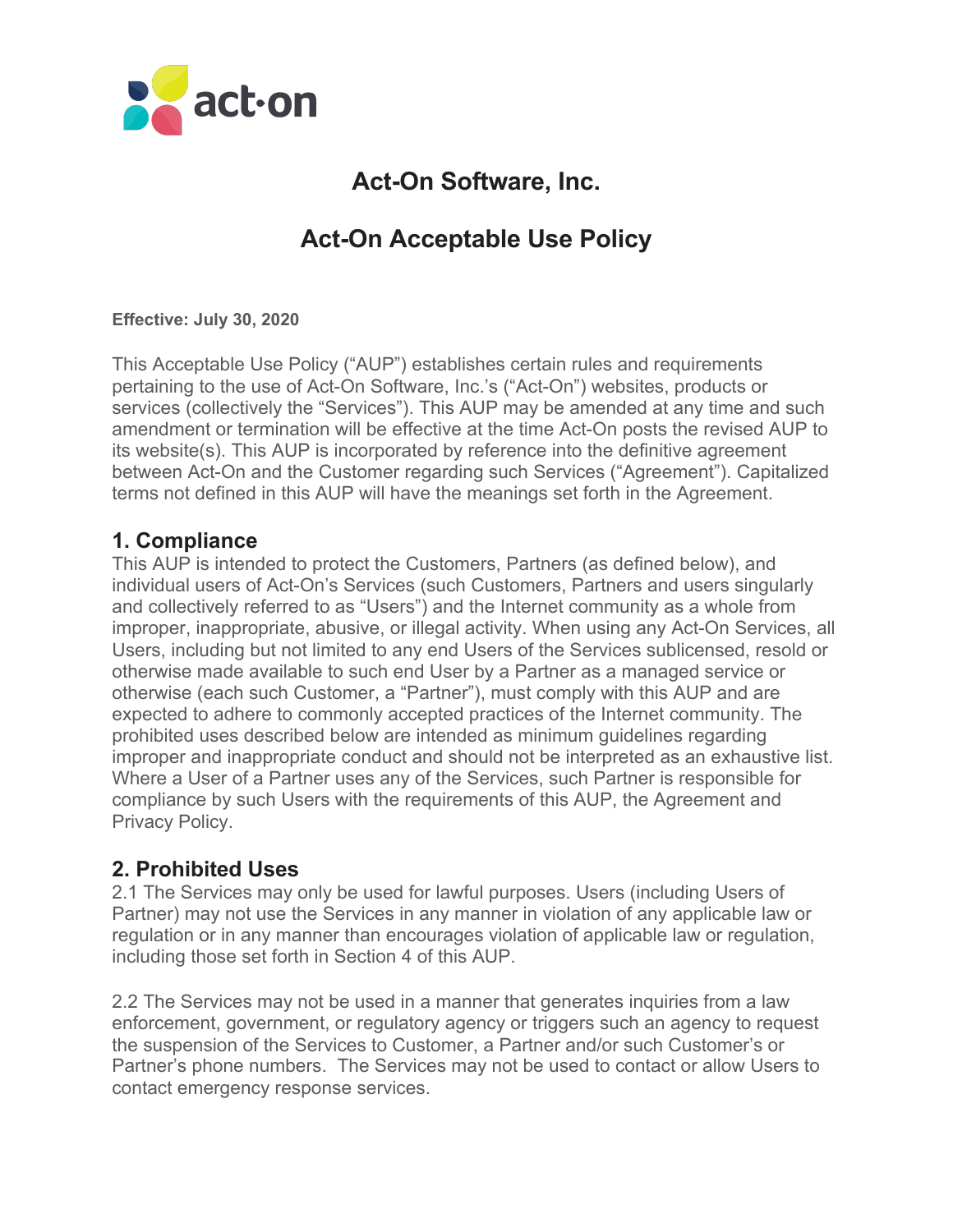

# **Act-On Software, Inc.**

# **Act-On Acceptable Use Policy**

**Effective: July 30, 2020**

This Acceptable Use Policy ("AUP") establishes certain rules and requirements pertaining to the use of Act-On Software, Inc.'s ("Act-On") websites, products or services (collectively the "Services"). This AUP may be amended at any time and such amendment or termination will be effective at the time Act-On posts the revised AUP to its website(s). This AUP is incorporated by reference into the definitive agreement between Act-On and the Customer regarding such Services ("Agreement"). Capitalized terms not defined in this AUP will have the meanings set forth in the Agreement.

## **1. Compliance**

This AUP is intended to protect the Customers, Partners (as defined below), and individual users of Act-On's Services (such Customers, Partners and users singularly and collectively referred to as "Users") and the Internet community as a whole from improper, inappropriate, abusive, or illegal activity. When using any Act-On Services, all Users, including but not limited to any end Users of the Services sublicensed, resold or otherwise made available to such end User by a Partner as a managed service or otherwise (each such Customer, a "Partner"), must comply with this AUP and are expected to adhere to commonly accepted practices of the Internet community. The prohibited uses described below are intended as minimum guidelines regarding improper and inappropriate conduct and should not be interpreted as an exhaustive list. Where a User of a Partner uses any of the Services, such Partner is responsible for compliance by such Users with the requirements of this AUP, the Agreement and Privacy Policy.

## **2. Prohibited Uses**

2.1 The Services may only be used for lawful purposes. Users (including Users of Partner) may not use the Services in any manner in violation of any applicable law or regulation or in any manner than encourages violation of applicable law or regulation, including those set forth in Section 4 of this AUP.

2.2 The Services may not be used in a manner that generates inquiries from a law enforcement, government, or regulatory agency or triggers such an agency to request the suspension of the Services to Customer, a Partner and/or such Customer's or Partner's phone numbers. The Services may not be used to contact or allow Users to contact emergency response services.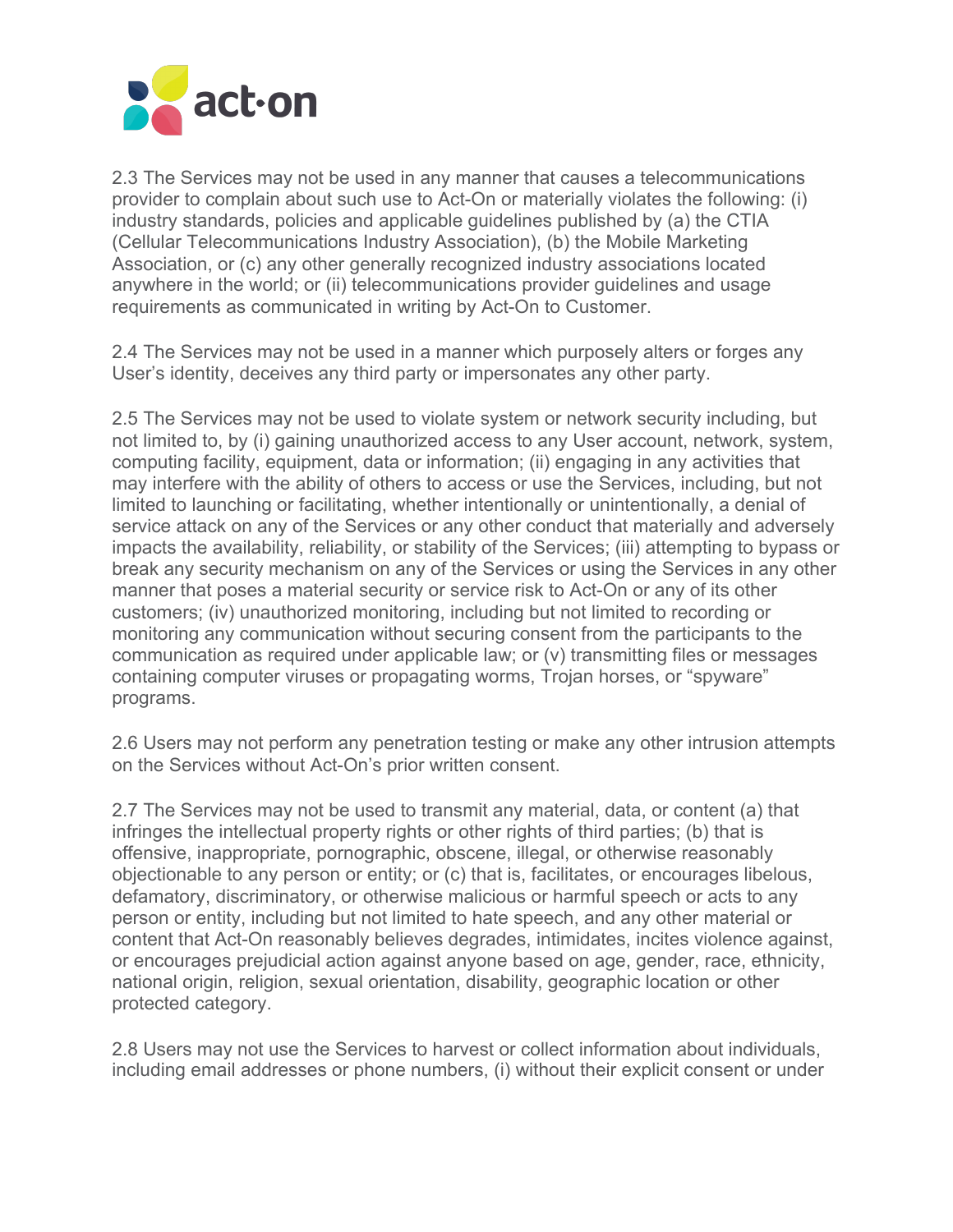

2.3 The Services may not be used in any manner that causes a telecommunications provider to complain about such use to Act-On or materially violates the following: (i) industry standards, policies and applicable guidelines published by (a) the CTIA (Cellular Telecommunications Industry Association), (b) the Mobile Marketing Association, or (c) any other generally recognized industry associations located anywhere in the world; or (ii) telecommunications provider guidelines and usage requirements as communicated in writing by Act-On to Customer.

2.4 The Services may not be used in a manner which purposely alters or forges any User's identity, deceives any third party or impersonates any other party.

2.5 The Services may not be used to violate system or network security including, but not limited to, by (i) gaining unauthorized access to any User account, network, system, computing facility, equipment, data or information; (ii) engaging in any activities that may interfere with the ability of others to access or use the Services, including, but not limited to launching or facilitating, whether intentionally or unintentionally, a denial of service attack on any of the Services or any other conduct that materially and adversely impacts the availability, reliability, or stability of the Services; (iii) attempting to bypass or break any security mechanism on any of the Services or using the Services in any other manner that poses a material security or service risk to Act-On or any of its other customers; (iv) unauthorized monitoring, including but not limited to recording or monitoring any communication without securing consent from the participants to the communication as required under applicable law; or (v) transmitting files or messages containing computer viruses or propagating worms, Trojan horses, or "spyware" programs.

2.6 Users may not perform any penetration testing or make any other intrusion attempts on the Services without Act-On's prior written consent.

2.7 The Services may not be used to transmit any material, data, or content (a) that infringes the intellectual property rights or other rights of third parties; (b) that is offensive, inappropriate, pornographic, obscene, illegal, or otherwise reasonably objectionable to any person or entity; or (c) that is, facilitates, or encourages libelous, defamatory, discriminatory, or otherwise malicious or harmful speech or acts to any person or entity, including but not limited to hate speech, and any other material or content that Act-On reasonably believes degrades, intimidates, incites violence against, or encourages prejudicial action against anyone based on age, gender, race, ethnicity, national origin, religion, sexual orientation, disability, geographic location or other protected category.

2.8 Users may not use the Services to harvest or collect information about individuals, including email addresses or phone numbers, (i) without their explicit consent or under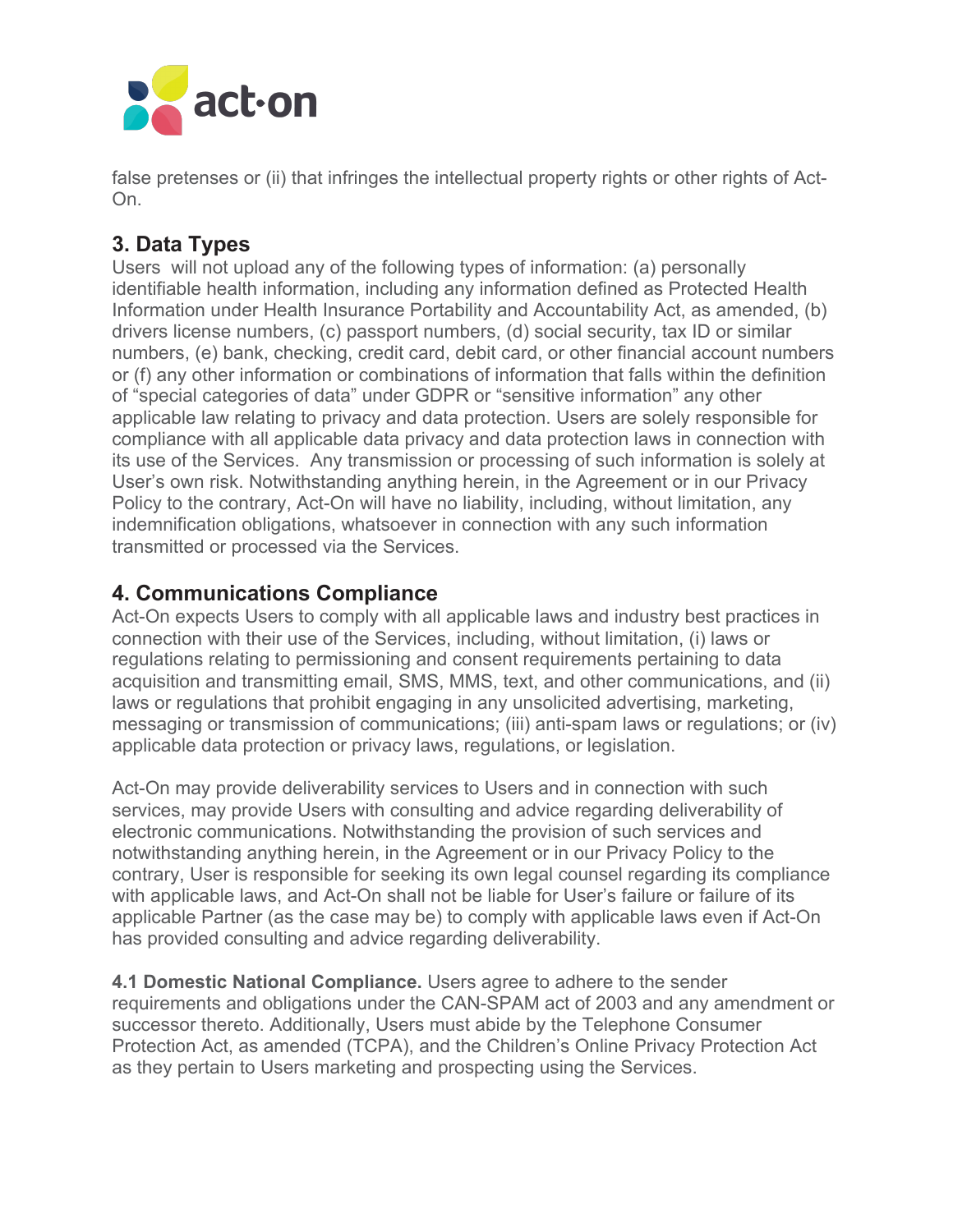

false pretenses or (ii) that infringes the intellectual property rights or other rights of Act-On.

## **3. Data Types**

Users will not upload any of the following types of information: (a) personally identifiable health information, including any information defined as Protected Health Information under Health Insurance Portability and Accountability Act, as amended, (b) drivers license numbers, (c) passport numbers, (d) social security, tax ID or similar numbers, (e) bank, checking, credit card, debit card, or other financial account numbers or (f) any other information or combinations of information that falls within the definition of "special categories of data" under GDPR or "sensitive information" any other applicable law relating to privacy and data protection. Users are solely responsible for compliance with all applicable data privacy and data protection laws in connection with its use of the Services. Any transmission or processing of such information is solely at User's own risk. Notwithstanding anything herein, in the Agreement or in our Privacy Policy to the contrary, Act-On will have no liability, including, without limitation, any indemnification obligations, whatsoever in connection with any such information transmitted or processed via the Services.

## **4. Communications Compliance**

Act-On expects Users to comply with all applicable laws and industry best practices in connection with their use of the Services, including, without limitation, (i) laws or regulations relating to permissioning and consent requirements pertaining to data acquisition and transmitting email, SMS, MMS, text, and other communications, and (ii) laws or regulations that prohibit engaging in any unsolicited advertising, marketing, messaging or transmission of communications; (iii) anti-spam laws or regulations; or (iv) applicable data protection or privacy laws, regulations, or legislation.

Act-On may provide deliverability services to Users and in connection with such services, may provide Users with consulting and advice regarding deliverability of electronic communications. Notwithstanding the provision of such services and notwithstanding anything herein, in the Agreement or in our Privacy Policy to the contrary, User is responsible for seeking its own legal counsel regarding its compliance with applicable laws, and Act-On shall not be liable for User's failure or failure of its applicable Partner (as the case may be) to comply with applicable laws even if Act-On has provided consulting and advice regarding deliverability.

**4.1 Domestic National Compliance.** Users agree to adhere to the sender requirements and obligations under the CAN-SPAM act of 2003 and any amendment or successor thereto. Additionally, Users must abide by the Telephone Consumer Protection Act, as amended (TCPA), and the Children's Online Privacy Protection Act as they pertain to Users marketing and prospecting using the Services.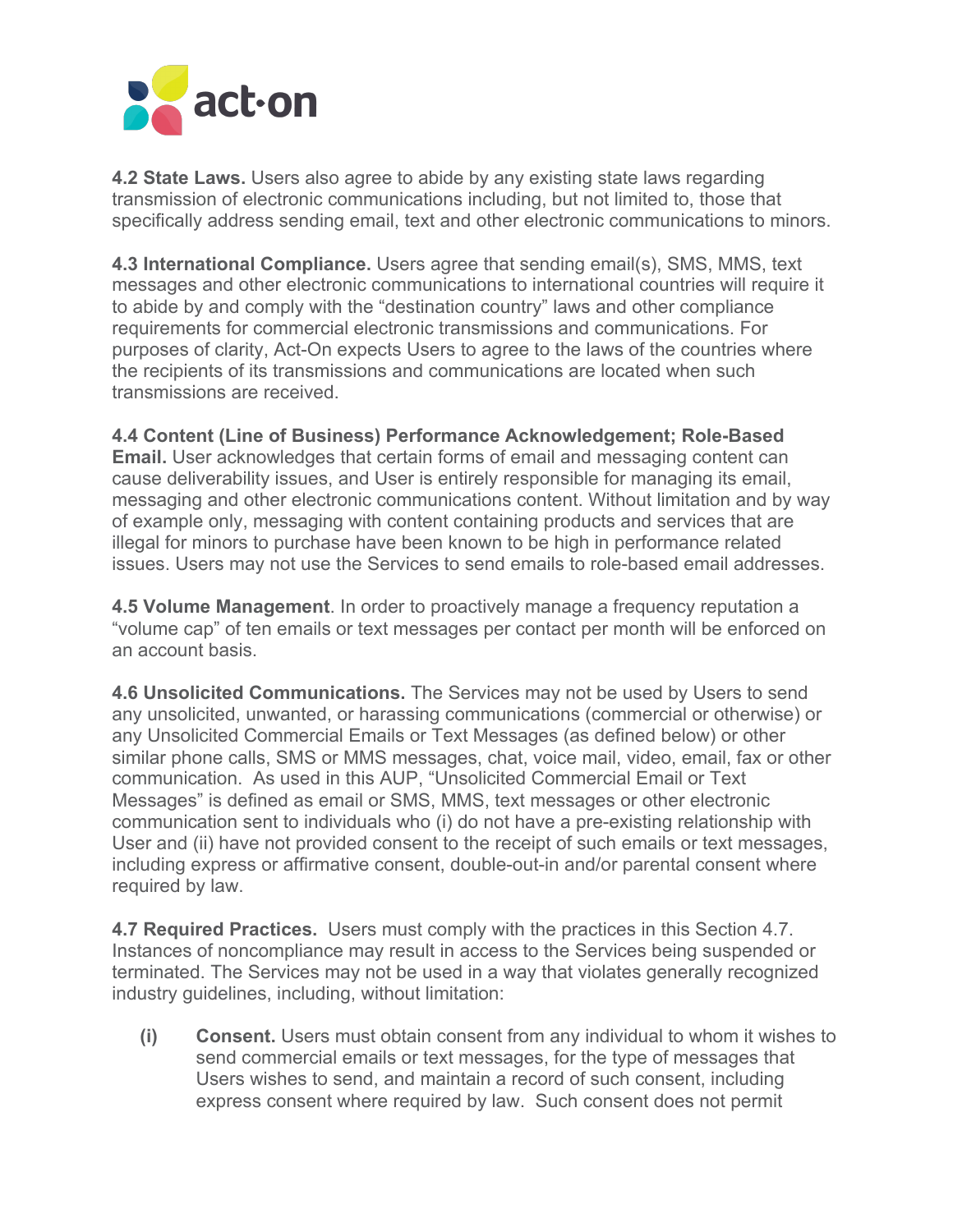

**4.2 State Laws.** Users also agree to abide by any existing state laws regarding transmission of electronic communications including, but not limited to, those that specifically address sending email, text and other electronic communications to minors.

**4.3 International Compliance.** Users agree that sending email(s), SMS, MMS, text messages and other electronic communications to international countries will require it to abide by and comply with the "destination country" laws and other compliance requirements for commercial electronic transmissions and communications. For purposes of clarity, Act-On expects Users to agree to the laws of the countries where the recipients of its transmissions and communications are located when such transmissions are received.

**4.4 Content (Line of Business) Performance Acknowledgement; Role-Based Email.** User acknowledges that certain forms of email and messaging content can cause deliverability issues, and User is entirely responsible for managing its email, messaging and other electronic communications content. Without limitation and by way of example only, messaging with content containing products and services that are illegal for minors to purchase have been known to be high in performance related issues. Users may not use the Services to send emails to role-based email addresses.

**4.5 Volume Management**. In order to proactively manage a frequency reputation a "volume cap" of ten emails or text messages per contact per month will be enforced on an account basis.

**4.6 Unsolicited Communications.** The Services may not be used by Users to send any unsolicited, unwanted, or harassing communications (commercial or otherwise) or any Unsolicited Commercial Emails or Text Messages (as defined below) or other similar phone calls, SMS or MMS messages, chat, voice mail, video, email, fax or other communication. As used in this AUP, "Unsolicited Commercial Email or Text Messages" is defined as email or SMS, MMS, text messages or other electronic communication sent to individuals who (i) do not have a pre-existing relationship with User and (ii) have not provided consent to the receipt of such emails or text messages, including express or affirmative consent, double-out-in and/or parental consent where required by law.

**4.7 Required Practices.** Users must comply with the practices in this Section 4.7. Instances of noncompliance may result in access to the Services being suspended or terminated. The Services may not be used in a way that violates generally recognized industry guidelines, including, without limitation:

**(i) Consent.** Users must obtain consent from any individual to whom it wishes to send commercial emails or text messages, for the type of messages that Users wishes to send, and maintain a record of such consent, including express consent where required by law. Such consent does not permit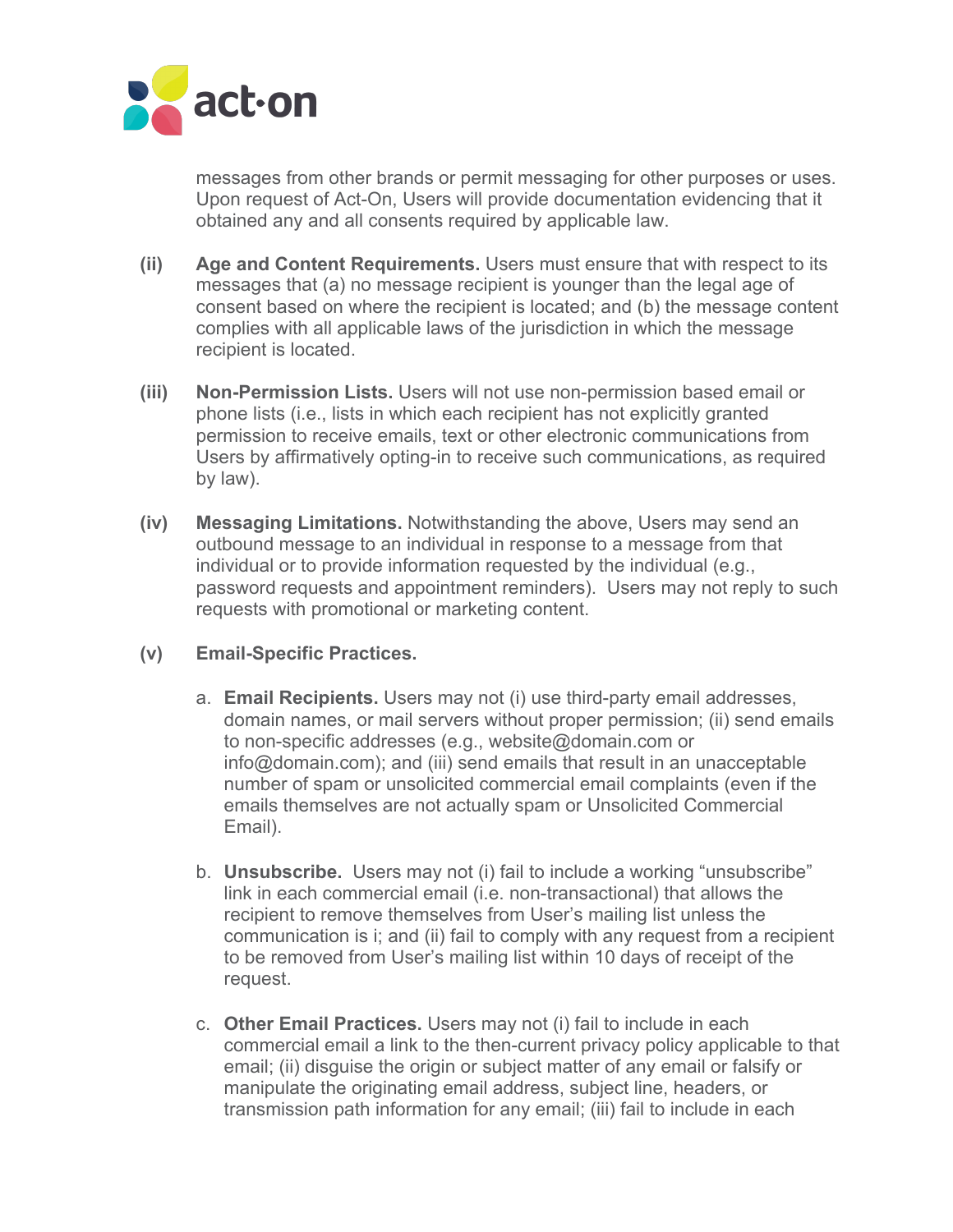

messages from other brands or permit messaging for other purposes or uses. Upon request of Act-On, Users will provide documentation evidencing that it obtained any and all consents required by applicable law.

- **(ii) Age and Content Requirements.** Users must ensure that with respect to its messages that (a) no message recipient is younger than the legal age of consent based on where the recipient is located; and (b) the message content complies with all applicable laws of the jurisdiction in which the message recipient is located.
- **(iii) Non-Permission Lists.** Users will not use non-permission based email or phone lists (i.e., lists in which each recipient has not explicitly granted permission to receive emails, text or other electronic communications from Users by affirmatively opting-in to receive such communications, as required by law).
- **(iv) Messaging Limitations.** Notwithstanding the above, Users may send an outbound message to an individual in response to a message from that individual or to provide information requested by the individual (e.g., password requests and appointment reminders). Users may not reply to such requests with promotional or marketing content.
- **(v) Email-Specific Practices.**
	- a. **Email Recipients.** Users may not (i) use third-party email addresses, domain names, or mail servers without proper permission; (ii) send emails to non-specific addresses (e.g., website@domain.com or info@domain.com); and (iii) send emails that result in an unacceptable number of spam or unsolicited commercial email complaints (even if the emails themselves are not actually spam or Unsolicited Commercial Email).
	- b. **Unsubscribe.** Users may not (i) fail to include a working "unsubscribe" link in each commercial email (i.e. non-transactional) that allows the recipient to remove themselves from User's mailing list unless the communication is i; and (ii) fail to comply with any request from a recipient to be removed from User's mailing list within 10 days of receipt of the request.
	- c. **Other Email Practices.** Users may not (i) fail to include in each commercial email a link to the then-current privacy policy applicable to that email; (ii) disguise the origin or subject matter of any email or falsify or manipulate the originating email address, subject line, headers, or transmission path information for any email; (iii) fail to include in each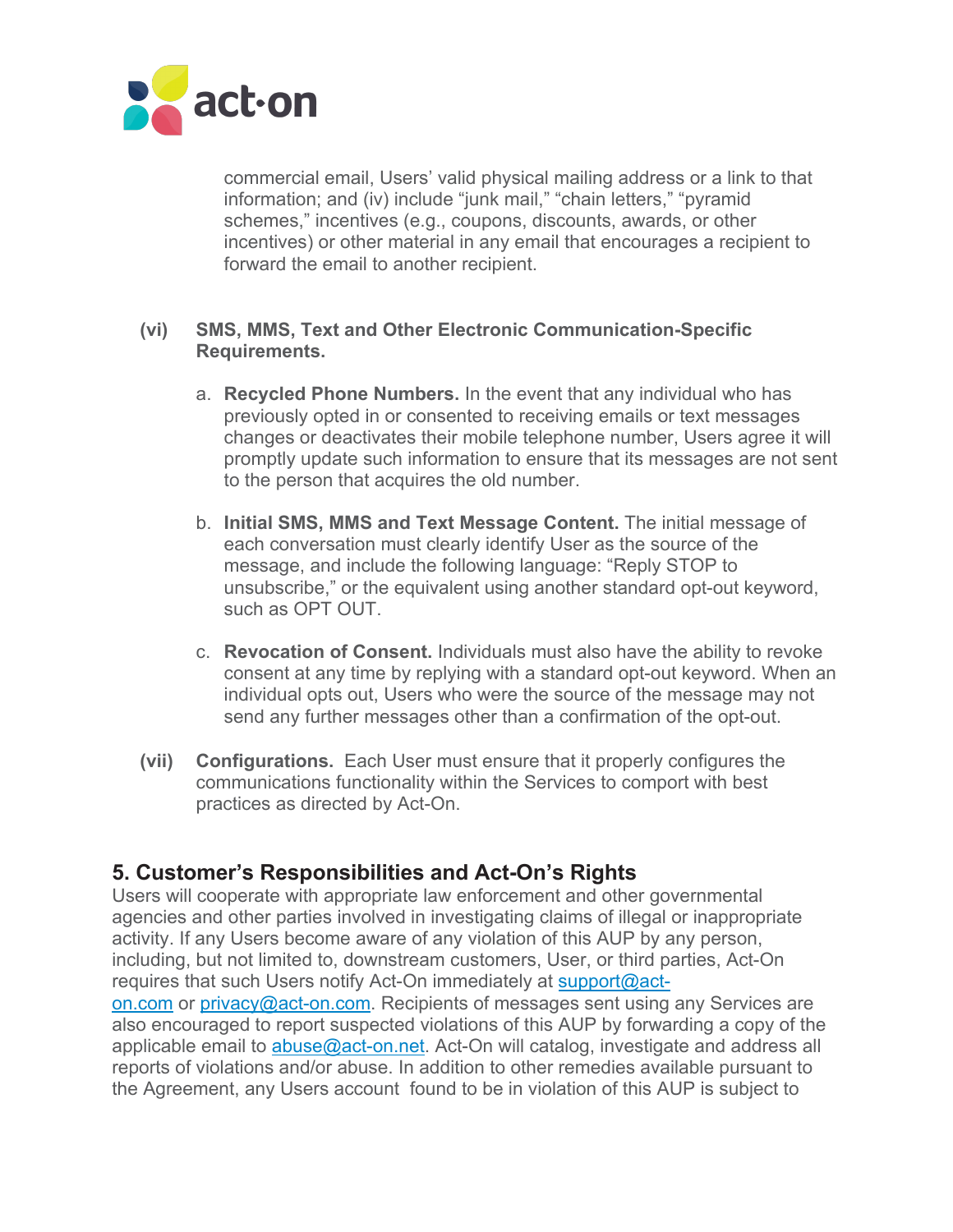

commercial email, Users' valid physical mailing address or a link to that information; and (iv) include "junk mail," "chain letters," "pyramid schemes," incentives (e.g., coupons, discounts, awards, or other incentives) or other material in any email that encourages a recipient to forward the email to another recipient.

#### **(vi) SMS, MMS, Text and Other Electronic Communication-Specific Requirements.**

- a. **Recycled Phone Numbers.** In the event that any individual who has previously opted in or consented to receiving emails or text messages changes or deactivates their mobile telephone number, Users agree it will promptly update such information to ensure that its messages are not sent to the person that acquires the old number.
- b. **Initial SMS, MMS and Text Message Content.** The initial message of each conversation must clearly identify User as the source of the message, and include the following language: "Reply STOP to unsubscribe," or the equivalent using another standard opt-out keyword, such as OPT OUT.
- c. **Revocation of Consent.** Individuals must also have the ability to revoke consent at any time by replying with a standard opt-out keyword. When an individual opts out, Users who were the source of the message may not send any further messages other than a confirmation of the opt-out.
- **(vii) Configurations.** Each User must ensure that it properly configures the communications functionality within the Services to comport with best practices as directed by Act-On.

## **5. Customer's Responsibilities and Act-On's Rights**

Users will cooperate with appropriate law enforcement and other governmental agencies and other parties involved in investigating claims of illegal or inappropriate activity. If any Users become aware of any violation of this AUP by any person, including, but not limited to, downstream customers, User, or third parties, Act-On requires that such Users notify Act-On immediately at support@acton.com or privacy@act-on.com. Recipients of messages sent using any Services are

also encouraged to report suspected violations of this AUP by forwarding a copy of the applicable email to abuse@act-on.net. Act-On will catalog, investigate and address all reports of violations and/or abuse. In addition to other remedies available pursuant to the Agreement, any Users account found to be in violation of this AUP is subject to